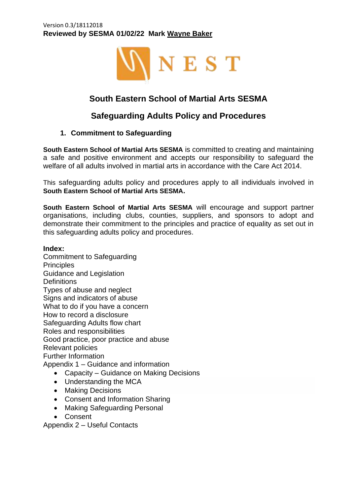#### Version 0.3/18112018 **Reviewed by SESMA 01/02/22 Mark Wayne Baker**



# **South Eastern School of Martial Arts SESMA**

# **Safeguarding Adults Policy and Procedures**

### **1. Commitment to Safeguarding**

**South Eastern School of Martial Arts SESMA** is committed to creating and maintaining a safe and positive environment and accepts our responsibility to safeguard the welfare of all adults involved in martial arts in accordance with the Care Act 2014.

This safeguarding adults policy and procedures apply to all individuals involved in **South Eastern School of Martial Arts SESMA.**

**South Eastern School of Martial Arts SESMA** will encourage and support partner organisations, including clubs, counties, suppliers, and sponsors to adopt and demonstrate their commitment to the principles and practice of equality as set out in this safeguarding adults policy and procedures.

#### **Index:**

Commitment to Safeguarding **Principles** Guidance and Legislation **Definitions** Types of abuse and neglect Signs and indicators of abuse What to do if you have a concern How to record a disclosure Safeguarding Adults flow chart Roles and responsibilities Good practice, poor practice and abuse Relevant policies Further Information Appendix 1 – Guidance and information

- Capacity Guidance on Making Decisions
- Understanding the MCA
- Making Decisions
- Consent and Information Sharing
- Making Safeguarding Personal
- Consent

Appendix 2 – Useful Contacts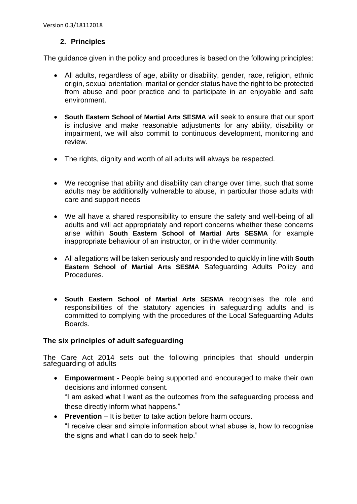## **2. Principles**

The guidance given in the policy and procedures is based on the following principles:

- All adults, regardless of age, ability or disability, gender, race, religion, ethnic origin, sexual orientation, marital or gender status have the right to be protected from abuse and poor practice and to participate in an enjoyable and safe environment.
- **South Eastern School of Martial Arts SESMA** will seek to ensure that our sport is inclusive and make reasonable adjustments for any ability, disability or impairment, we will also commit to continuous development, monitoring and review.
- The rights, dignity and worth of all adults will always be respected.
- We recognise that ability and disability can change over time, such that some adults may be additionally vulnerable to abuse, in particular those adults with care and support needs
- We all have a shared responsibility to ensure the safety and well-being of all adults and will act appropriately and report concerns whether these concerns arise within **South Eastern School of Martial Arts SESMA** for example inappropriate behaviour of an instructor, or in the wider community.
- All allegations will be taken seriously and responded to quickly in line with **South Eastern School of Martial Arts SESMA** Safeguarding Adults Policy and Procedures.
- **South Eastern School of Martial Arts SESMA** recognises the role and responsibilities of the statutory agencies in safeguarding adults and is committed to complying with the procedures of the Local Safeguarding Adults Boards.

### **The six principles of adult safeguarding**

The Care Act 2014 sets out the following principles that should underpin safeguarding of adults

- **Empowerment** People being supported and encouraged to make their own decisions and informed consent. "I am asked what I want as the outcomes from the safeguarding process and these directly inform what happens."
- **Prevention** It is better to take action before harm occurs. "I receive clear and simple information about what abuse is, how to recognise
	- the signs and what I can do to seek help."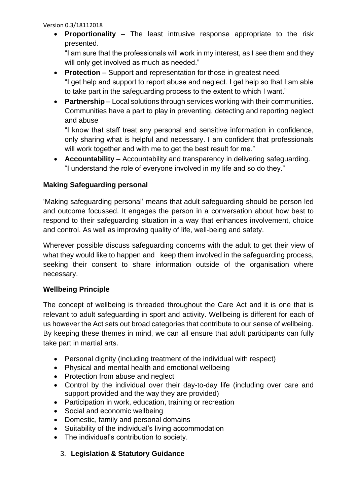• **Proportionality** – The least intrusive response appropriate to the risk presented.

"I am sure that the professionals will work in my interest, as I see them and they will only get involved as much as needed."

- **Protection** Support and representation for those in greatest need. "I get help and support to report abuse and neglect. I get help so that I am able to take part in the safeguarding process to the extent to which I want."
- **Partnership** Local solutions through services working with their communities. Communities have a part to play in preventing, detecting and reporting neglect and abuse

"I know that staff treat any personal and sensitive information in confidence, only sharing what is helpful and necessary. I am confident that professionals will work together and with me to get the best result for me."

• **Accountability** – Accountability and transparency in delivering safeguarding. "I understand the role of everyone involved in my life and so do they."

# **Making Safeguarding personal**

'Making safeguarding personal' means that adult safeguarding should be person led and outcome focussed. It engages the person in a conversation about how best to respond to their safeguarding situation in a way that enhances involvement, choice and control. As well as improving quality of life, well-being and safety.

Wherever possible discuss safeguarding concerns with the adult to get their view of what they would like to happen and keep them involved in the safeguarding process, seeking their consent to share information outside of the organisation where necessary.

### **Wellbeing Principle**

The concept of wellbeing is threaded throughout the Care Act and it is one that is relevant to adult safeguarding in sport and activity. Wellbeing is different for each of us however the Act sets out broad categories that contribute to our sense of wellbeing. By keeping these themes in mind, we can all ensure that adult participants can fully take part in martial arts.

- Personal dignity (including treatment of the individual with respect)
- Physical and mental health and emotional wellbeing
- Protection from abuse and neglect
- Control by the individual over their day-to-day life (including over care and support provided and the way they are provided)
- Participation in work, education, training or recreation
- Social and economic wellbeing
- Domestic, family and personal domains
- Suitability of the individual's living accommodation
- The individual's contribution to society.

# 3. **Legislation & Statutory Guidance**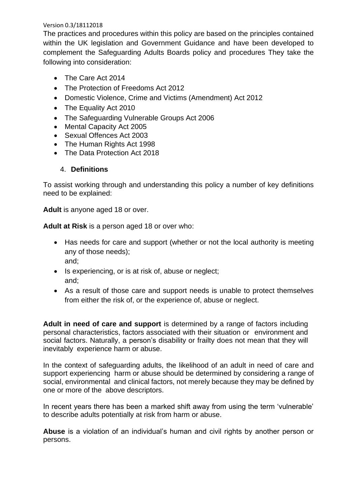The practices and procedures within this policy are based on the principles contained within the UK legislation and Government Guidance and have been developed to complement the Safeguarding Adults Boards policy and procedures They take the following into consideration:

- The Care Act 2014
- The Protection of Freedoms Act 2012
- Domestic Violence, Crime and Victims (Amendment) Act 2012
- The Equality Act 2010
- The Safeguarding Vulnerable Groups Act 2006
- Mental Capacity Act 2005
- Sexual Offences Act 2003
- The Human Rights Act 1998
- The Data Protection Act 2018

### 4. **Definitions**

To assist working through and understanding this policy a number of key definitions need to be explained:

**Adult** is anyone aged 18 or over.

**Adult at Risk** is a person aged 18 or over who:

- Has needs for care and support (whether or not the local authority is meeting any of those needs);
	- and;
- Is experiencing, or is at risk of, abuse or neglect; and;
- As a result of those care and support needs is unable to protect themselves from either the risk of, or the experience of, abuse or neglect.

**Adult in need of care and support** is determined by a range of factors including personal characteristics, factors associated with their situation or environment and social factors. Naturally, a person's disability or frailty does not mean that they will inevitably experience harm or abuse.

In the context of safeguarding adults, the likelihood of an adult in need of care and support experiencing harm or abuse should be determined by considering a range of social, environmental and clinical factors, not merely because they may be defined by one or more of the above descriptors.

In recent years there has been a marked shift away from using the term 'vulnerable' to describe adults potentially at risk from harm or abuse.

**Abuse** is a violation of an individual's human and civil rights by another person or persons.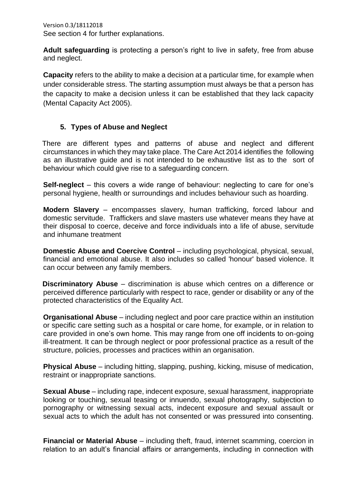Version 0.3/18112018 See section 4 for further explanations.

**Adult safeguarding** is protecting a person's right to live in safety, free from abuse and neglect.

**Capacity** refers to the ability to make a decision at a particular time, for example when under considerable stress. The starting assumption must always be that a person has the capacity to make a decision unless it can be established that they lack capacity (Mental Capacity Act 2005).

### **5. Types of Abuse and Neglect**

 There are different types and patterns of abuse and neglect and different circumstances in which they may take place. The Care Act 2014 identifies the following as an illustrative guide and is not intended to be exhaustive list as to the sort of behaviour which could give rise to a safeguarding concern.

**Self-neglect** – this covers a wide range of behaviour: neglecting to care for one's personal hygiene, health or surroundings and includes behaviour such as hoarding.

**Modern Slavery** – encompasses slavery, human trafficking, forced labour and domestic servitude. Traffickers and slave masters use whatever means they have at their disposal to coerce, deceive and force individuals into a life of abuse, servitude and inhumane treatment

**Domestic Abuse and Coercive Control** – including psychological, physical, sexual, financial and emotional abuse. It also includes so called 'honour' based violence. It can occur between any family members.

**Discriminatory Abuse** – discrimination is abuse which centres on a difference or perceived difference particularly with respect to race, gender or disability or any of the protected characteristics of the Equality Act.

**Organisational Abuse** – including neglect and poor care practice within an institution or specific care setting such as a hospital or care home, for example, or in relation to care provided in one's own home. This may range from one off incidents to on-going ill-treatment. It can be through neglect or poor professional practice as a result of the structure, policies, processes and practices within an organisation.

**Physical Abuse** – including hitting, slapping, pushing, kicking, misuse of medication, restraint or inappropriate sanctions.

**Sexual Abuse** – including rape, indecent exposure, sexual harassment, inappropriate looking or touching, sexual teasing or innuendo, sexual photography, subjection to pornography or witnessing sexual acts, indecent exposure and sexual assault or sexual acts to which the adult has not consented or was pressured into consenting.

**Financial or Material Abuse** – including theft, fraud, internet scamming, coercion in relation to an adult's financial affairs or arrangements, including in connection with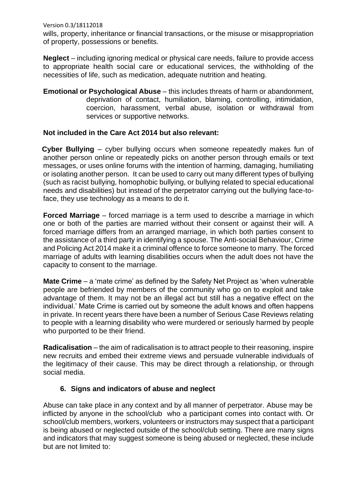Version 0.3/18112018 wills, property, inheritance or financial transactions, or the misuse or misappropriation of property, possessions or benefits.

**Neglect** – including ignoring medical or physical care needs, failure to provide access to appropriate health social care or educational services, the withholding of the necessities of life, such as medication, adequate nutrition and heating.

**Emotional or Psychological Abuse** – this includes threats of harm or abandonment, deprivation of contact, humiliation, blaming, controlling, intimidation, coercion, harassment, verbal abuse, isolation or withdrawal from services or supportive networks.

### **Not included in the Care Act 2014 but also relevant:**

 **Cyber Bullying** – cyber bullying occurs when someone repeatedly makes fun of another person online or repeatedly picks on another person through emails or text messages, or uses online forums with the intention of harming, damaging, humiliating or isolating another person. It can be used to carry out many different types of bullying (such as racist bullying, homophobic bullying, or bullying related to special educational needs and disabilities) but instead of the perpetrator carrying out the bullying face-toface, they use technology as a means to do it.

**Forced Marriage** – forced marriage is a term used to describe a marriage in which one or both of the parties are married without their consent or against their will. A forced marriage differs from an arranged marriage, in which both parties consent to the assistance of a third party in identifying a spouse. The Anti-social Behaviour, Crime and Policing Act 2014 make it a criminal offence to force someone to marry. The forced marriage of adults with learning disabilities occurs when the adult does not have the capacity to consent to the marriage.

**Mate Crime** – a 'mate crime' as defined by the Safety Net Project as 'when vulnerable people are befriended by members of the community who go on to exploit and take advantage of them. It may not be an illegal act but still has a negative effect on the individual.' Mate Crime is carried out by someone the adult knows and often happens in private. In recent years there have been a number of Serious Case Reviews relating to people with a learning disability who were murdered or seriously harmed by people who purported to be their friend.

**Radicalisation** – the aim of radicalisation is to attract people to their reasoning, inspire new recruits and embed their extreme views and persuade vulnerable individuals of the legitimacy of their cause. This may be direct through a relationship, or through social media.

#### **6. Signs and indicators of abuse and neglect**

Abuse can take place in any context and by all manner of perpetrator. Abuse may be inflicted by anyone in the school/club who a participant comes into contact with. Or school/club members, workers, volunteers or instructors may suspect that a participant is being abused or neglected outside of the school/club setting. There are many signs and indicators that may suggest someone is being abused or neglected, these include but are not limited to: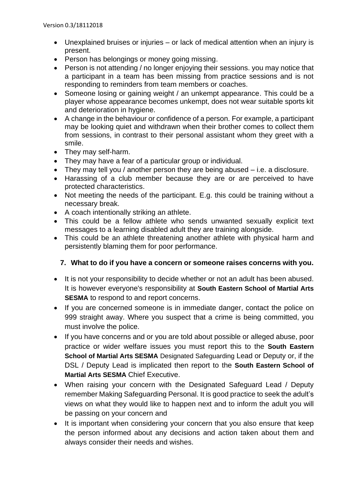- Unexplained bruises or injuries or lack of medical attention when an injury is present.
- Person has belongings or money going missing.
- Person is not attending / no longer enjoying their sessions. you may notice that a participant in a team has been missing from practice sessions and is not responding to reminders from team members or coaches.
- Someone losing or gaining weight / an unkempt appearance. This could be a player whose appearance becomes unkempt, does not wear suitable sports kit and deterioration in hygiene.
- A change in the behaviour or confidence of a person. For example, a participant may be looking quiet and withdrawn when their brother comes to collect them from sessions, in contrast to their personal assistant whom they greet with a smile.
- They may self-harm.
- They may have a fear of a particular group or individual.
- They may tell you / another person they are being abused i.e. a disclosure.
- Harassing of a club member because they are or are perceived to have protected characteristics.
- Not meeting the needs of the participant. E.g. this could be training without a necessary break.
- A coach intentionally striking an athlete.
- This could be a fellow athlete who sends unwanted sexually explicit text messages to a learning disabled adult they are training alongside.
- This could be an athlete threatening another athlete with physical harm and persistently blaming them for poor performance.

### **7. What to do if you have a concern or someone raises concerns with you.**

- It is not your responsibility to decide whether or not an adult has been abused. It is however everyone's responsibility at **South Eastern School of Martial Arts SESMA** to respond to and report concerns.
- If you are concerned someone is in immediate danger, contact the police on 999 straight away. Where you suspect that a crime is being committed, you must involve the police.
- If you have concerns and or you are told about possible or alleged abuse, poor practice or wider welfare issues you must report this to the **South Eastern School of Martial Arts SESMA** Designated Safeguarding Lead or Deputy or, if the DSL / Deputy Lead is implicated then report to the **South Eastern School of Martial Arts SESMA** Chief Executive.
- When raising your concern with the Designated Safeguard Lead / Deputy remember Making Safeguarding Personal. It is good practice to seek the adult's views on what they would like to happen next and to inform the adult you will be passing on your concern and
- It is important when considering your concern that you also ensure that keep the person informed about any decisions and action taken about them and always consider their needs and wishes.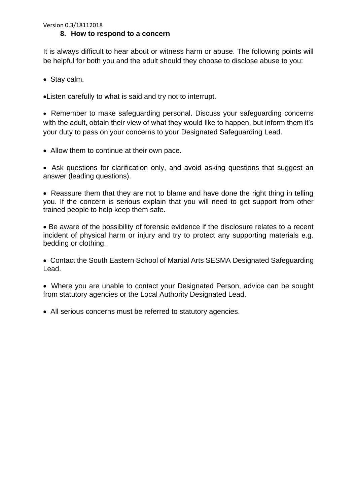It is always difficult to hear about or witness harm or abuse. The following points will be helpful for both you and the adult should they choose to disclose abuse to you:

• Stay calm.

•Listen carefully to what is said and try not to interrupt.

• Remember to make safeguarding personal. Discuss your safeguarding concerns with the adult, obtain their view of what they would like to happen, but inform them it's your duty to pass on your concerns to your Designated Safeguarding Lead.

• Allow them to continue at their own pace.

• Ask questions for clarification only, and avoid asking questions that suggest an answer (leading questions).

• Reassure them that they are not to blame and have done the right thing in telling you. If the concern is serious explain that you will need to get support from other trained people to help keep them safe.

• Be aware of the possibility of forensic evidence if the disclosure relates to a recent incident of physical harm or injury and try to protect any supporting materials e.g. bedding or clothing.

• Contact the South Eastern School of Martial Arts SESMA Designated Safeguarding Lead.

• Where you are unable to contact your Designated Person, advice can be sought from statutory agencies or the Local Authority Designated Lead.

• All serious concerns must be referred to statutory agencies.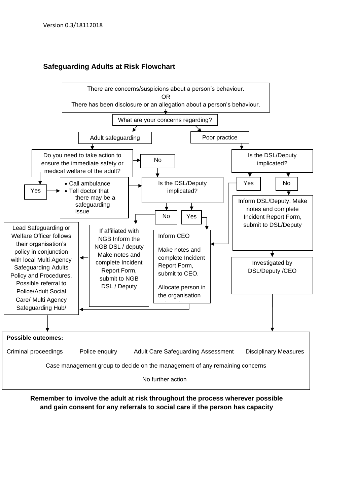



**Remember to involve the adult at risk throughout the process wherever possible and gain consent for any referrals to social care if the person has capacity**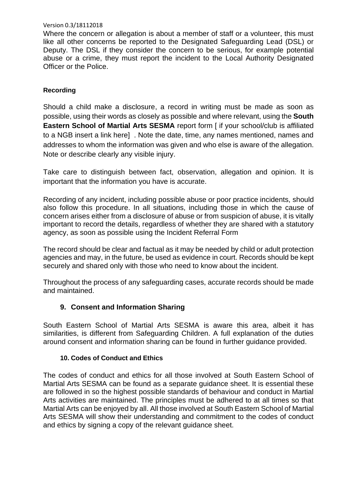Where the concern or allegation is about a member of staff or a volunteer, this must like all other concerns be reported to the Designated Safeguarding Lead (DSL) or Deputy. The DSL if they consider the concern to be serious, for example potential abuse or a crime, they must report the incident to the Local Authority Designated Officer or the Police.

#### **Recording**

Should a child make a disclosure, a record in writing must be made as soon as possible, using their words as closely as possible and where relevant, using the **South Eastern School of Martial Arts SESMA** report form [ if your school/club is affiliated to a NGB insert a link here] . Note the date, time, any names mentioned, names and addresses to whom the information was given and who else is aware of the allegation. Note or describe clearly any visible injury.

Take care to distinguish between fact, observation, allegation and opinion. It is important that the information you have is accurate.

Recording of any incident, including possible abuse or poor practice incidents, should also follow this procedure. In all situations, including those in which the cause of concern arises either from a disclosure of abuse or from suspicion of abuse, it is vitally important to record the details, regardless of whether they are shared with a statutory agency, as soon as possible using the Incident Referral Form

The record should be clear and factual as it may be needed by child or adult protection agencies and may, in the future, be used as evidence in court. Records should be kept securely and shared only with those who need to know about the incident.

Throughout the process of any safeguarding cases, accurate records should be made and maintained.

### **9. Consent and Information Sharing**

South Eastern School of Martial Arts SESMA is aware this area, albeit it has similarities, is different from Safeguarding Children. A full explanation of the duties around consent and information sharing can be found in further guidance provided.

#### **10. Codes of Conduct and Ethics**

The codes of conduct and ethics for all those involved at South Eastern School of Martial Arts SESMA can be found as a separate guidance sheet. It is essential these are followed in so the highest possible standards of behaviour and conduct in Martial Arts activities are maintained. The principles must be adhered to at all times so that Martial Arts can be enjoyed by all. All those involved at South Eastern School of Martial Arts SESMA will show their understanding and commitment to the codes of conduct and ethics by signing a copy of the relevant guidance sheet.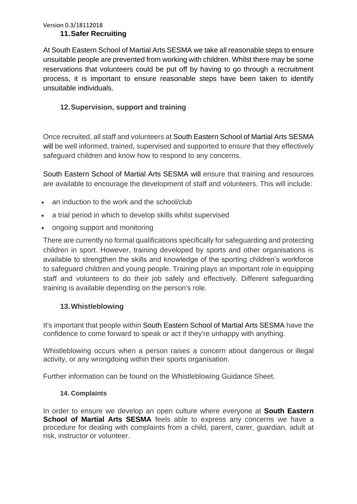#### Version 0.3/18112018 **11.Safer Recruiting**

At South Eastern School of Martial Arts SESMA we take all reasonable steps to ensure unsuitable people are prevented from working with children. Whilst there may be some reservations that volunteers could be put off by having to go through a recruitment process, it is important to ensure reasonable steps have been taken to identify unsuitable individuals.

# **12.Supervision, support and training**

Once recruited, all staff and volunteers at South Eastern School of Martial Arts SESMA will be well informed, trained, supervised and supported to ensure that they effectively safeguard children and know how to respond to any concerns.

South Eastern School of Martial Arts SESMA will ensure that training and resources are available to encourage the development of staff and volunteers. This will include:

- an induction to the work and the school/club
- a trial period in which to develop skills whilst supervised
- ongoing support and monitoring

There are currently no formal qualifications specifically for safeguarding and protecting children in sport. However, training developed by sports and other organisations is available to strengthen the skills and knowledge of the sporting children's workforce to safeguard children and young people. Training plays an important role in equipping staff and volunteers to do their job safely and effectively. Different safeguarding training is available depending on the person's role.

### **13.Whistleblowing**

It's important that people within South Eastern School of Martial Arts SESMA have the confidence to come forward to speak or act if they're unhappy with anything.

Whistleblowing occurs when a person raises a concern about dangerous or illegal activity, or any wrongdoing within their sports organisation.

Further information can be found on the Whistleblowing Guidance Sheet.

### **14. Complaints**

In order to ensure we develop an open culture where everyone at **South Eastern School of Martial Arts SESMA** feels able to express any concerns we have a procedure for dealing with complaints from a child, parent, carer, guardian, adult at risk, instructor or volunteer.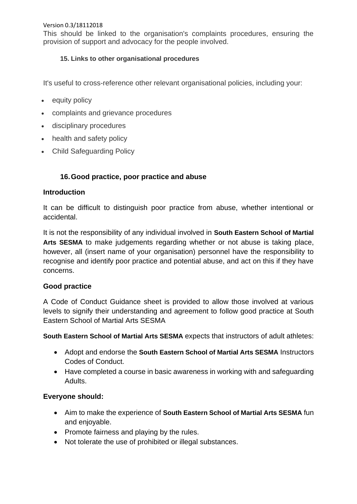This should be linked to the organisation's complaints procedures, ensuring the provision of support and advocacy for the people involved.

## **15. Links to other organisational procedures**

It's useful to cross-reference other relevant organisational policies, including your:

- equity policy
- complaints and grievance procedures
- disciplinary procedures
- health and safety policy
- Child Safeguarding Policy

## **16.Good practice, poor practice and abuse**

### **Introduction**

It can be difficult to distinguish poor practice from abuse, whether intentional or accidental.

It is not the responsibility of any individual involved in **South Eastern School of Martial Arts SESMA** to make judgements regarding whether or not abuse is taking place, however, all (insert name of your organisation) personnel have the responsibility to recognise and identify poor practice and potential abuse, and act on this if they have concerns.

### **Good practice**

A Code of Conduct Guidance sheet is provided to allow those involved at various levels to signify their understanding and agreement to follow good practice at South Eastern School of Martial Arts SESMA

**South Eastern School of Martial Arts SESMA** expects that instructors of adult athletes:

- Adopt and endorse the **South Eastern School of Martial Arts SESMA** Instructors Codes of Conduct.
- Have completed a course in basic awareness in working with and safeguarding Adults.

### **Everyone should:**

- Aim to make the experience of **South Eastern School of Martial Arts SESMA** fun and enjoyable.
- Promote fairness and playing by the rules.
- Not tolerate the use of prohibited or illegal substances.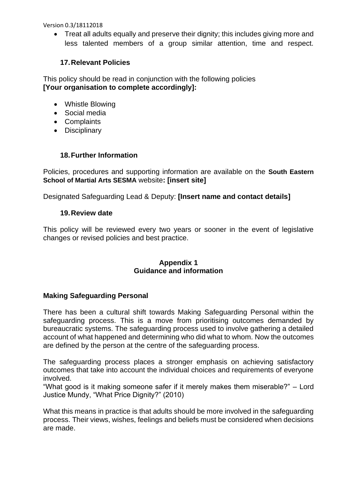• Treat all adults equally and preserve their dignity; this includes giving more and less talented members of a group similar attention, time and respect.

### **17.Relevant Policies**

This policy should be read in conjunction with the following policies **[Your organisation to complete accordingly]:** 

- Whistle Blowing
- Social media
- Complaints
- Disciplinary

## **18.Further Information**

Policies, procedures and supporting information are available on the **South Eastern School of Martial Arts SESMA** website**: [insert site]**

Designated Safeguarding Lead & Deputy: **[Insert name and contact details]**

### **19.Review date**

This policy will be reviewed every two years or sooner in the event of legislative changes or revised policies and best practice.

#### **Appendix 1 Guidance and information**

### **Making Safeguarding Personal**

There has been a cultural shift towards Making Safeguarding Personal within the safeguarding process. This is a move from prioritising outcomes demanded by bureaucratic systems. The safeguarding process used to involve gathering a detailed account of what happened and determining who did what to whom. Now the outcomes are defined by the person at the centre of the safeguarding process.

The safeguarding process places a stronger emphasis on achieving satisfactory outcomes that take into account the individual choices and requirements of everyone involved.

"What good is it making someone safer if it merely makes them miserable?" – Lord Justice Mundy, "What Price Dignity?" (2010)

What this means in practice is that adults should be more involved in the safeguarding process. Their views, wishes, feelings and beliefs must be considered when decisions are made.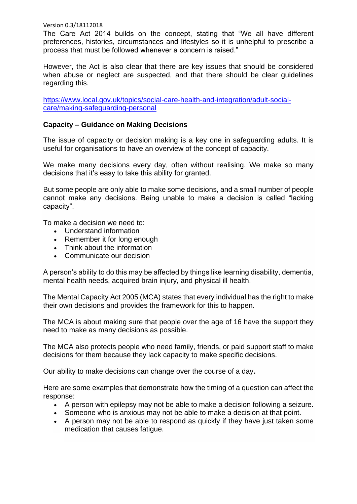The Care Act 2014 builds on the concept, stating that "We all have different preferences, histories, circumstances and lifestyles so it is unhelpful to prescribe a process that must be followed whenever a concern is raised."

However, the Act is also clear that there are key issues that should be considered when abuse or neglect are suspected, and that there should be clear guidelines regarding this.

[https://www.local.gov.uk/topics/social-care-health-and-integration/adult-social](https://www.local.gov.uk/topics/social-care-health-and-integration/adult-social-care/making-safeguarding-personal)[care/making-safeguarding-personal](https://www.local.gov.uk/topics/social-care-health-and-integration/adult-social-care/making-safeguarding-personal)

#### **Capacity – Guidance on Making Decisions**

The issue of capacity or decision making is a key one in safeguarding adults. It is useful for organisations to have an overview of the concept of capacity.

We make many decisions every day, often without realising. We make so many decisions that it's easy to take this ability for granted.

But some people are only able to make some decisions, and a small number of people cannot make any decisions. Being unable to make a decision is called "lacking capacity".

To make a decision we need to:

- Understand information
- Remember it for long enough
- Think about the information
- Communicate our decision

A person's ability to do this may be affected by things like learning disability, dementia, mental health needs, acquired brain injury, and physical ill health.

The Mental Capacity Act 2005 (MCA) states that every individual has the right to make their own decisions and provides the framework for this to happen.

The MCA is about making sure that people over the age of 16 have the support they need to make as many decisions as possible.

The MCA also protects people who need family, friends, or paid support staff to make decisions for them because they lack capacity to make specific decisions.

Our ability to make decisions can change over the course of a day**.**

Here are some examples that demonstrate how the timing of a question can affect the response:

- A person with epilepsy may not be able to make a decision following a seizure.
- Someone who is anxious may not be able to make a decision at that point.
- A person may not be able to respond as quickly if they have just taken some medication that causes fatigue.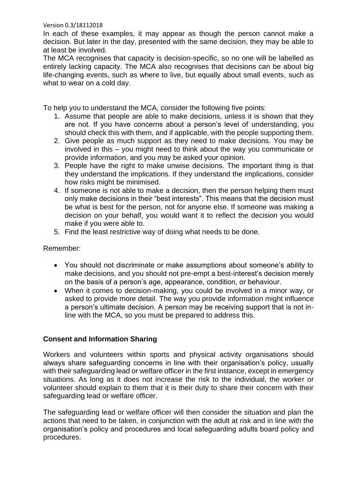In each of these examples, it may appear as though the person cannot make a decision. But later in the day, presented with the same decision, they may be able to at least be involved.

The MCA recognises that capacity is decision-specific, so no one will be labelled as entirely lacking capacity. The MCA also recognises that decisions can be about big life-changing events, such as where to live, but equally about small events, such as what to wear on a cold day.

To help you to understand the MCA, consider the following five points:

- 1. Assume that people are able to make decisions, unless it is shown that they are not. If you have concerns about a person's level of understanding, you should check this with them, and if applicable, with the people supporting them.
- 2. Give people as much support as they need to make decisions. You may be involved in this – you might need to think about the way you communicate or provide information, and you may be asked your opinion.
- 3. People have the right to make unwise decisions. The important thing is that they understand the implications. If they understand the implications, consider how risks might be minimised.
- 4. If someone is not able to make a decision, then the person helping them must only make decisions in their "best interests". This means that the decision must be what is best for the person, not for anyone else. If someone was making a decision on your behalf, you would want it to reflect the decision you would make if you were able to.
- 5. Find the least restrictive way of doing what needs to be done.

Remember:

- You should not discriminate or make assumptions about someone's ability to make decisions, and you should not pre-empt a best-interest's decision merely on the basis of a person's age, appearance, condition, or behaviour.
- When it comes to decision-making, you could be involved in a minor way, or asked to provide more detail. The way you provide information might influence a person's ultimate decision. A person may be receiving support that is not inline with the MCA, so you must be prepared to address this.

### **Consent and Information Sharing**

Workers and volunteers within sports and physical activity organisations should always share safeguarding concerns in line with their organisation's policy, usually with their safeguarding lead or welfare officer in the first instance, except in emergency situations. As long as it does not increase the risk to the individual, the worker or volunteer should explain to them that it is their duty to share their concern with their safeguarding lead or welfare officer.

The safeguarding lead or welfare officer will then consider the situation and plan the actions that need to be taken, in conjunction with the adult at risk and in line with the organisation's policy and procedures and local safeguarding adults board policy and procedures.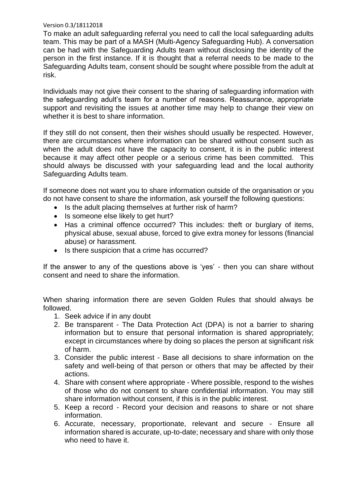To make an adult safeguarding referral you need to call the local safeguarding adults team. This may be part of a MASH (Multi-Agency Safeguarding Hub). A conversation can be had with the Safeguarding Adults team without disclosing the identity of the person in the first instance. If it is thought that a referral needs to be made to the Safeguarding Adults team, consent should be sought where possible from the adult at risk.

Individuals may not give their consent to the sharing of safeguarding information with the safeguarding adult's team for a number of reasons. Reassurance, appropriate support and revisiting the issues at another time may help to change their view on whether it is best to share information.

If they still do not consent, then their wishes should usually be respected. However, there are circumstances where information can be shared without consent such as when the adult does not have the capacity to consent, it is in the public interest because it may affect other people or a serious crime has been committed. This should always be discussed with your safeguarding lead and the local authority Safeguarding Adults team.

If someone does not want you to share information outside of the organisation or you do not have consent to share the information, ask yourself the following questions:

- Is the adult placing themselves at further risk of harm?
- Is someone else likely to get hurt?
- Has a criminal offence occurred? This includes: theft or burglary of items, physical abuse, sexual abuse, forced to give extra money for lessons (financial abuse) or harassment.
- Is there suspicion that a crime has occurred?

If the answer to any of the questions above is 'yes' - then you can share without consent and need to share the information.

When sharing information there are seven Golden Rules that should always be followed.

- 1. Seek advice if in any doubt
- 2. Be transparent The Data Protection Act (DPA) is not a barrier to sharing information but to ensure that personal information is shared appropriately; except in circumstances where by doing so places the person at significant risk of harm.
- 3. Consider the public interest Base all decisions to share information on the safety and well-being of that person or others that may be affected by their actions.
- 4. Share with consent where appropriate Where possible, respond to the wishes of those who do not consent to share confidential information. You may still share information without consent, if this is in the public interest.
- 5. Keep a record Record your decision and reasons to share or not share information.
- 6. Accurate, necessary, proportionate, relevant and secure Ensure all information shared is accurate, up-to-date; necessary and share with only those who need to have it.